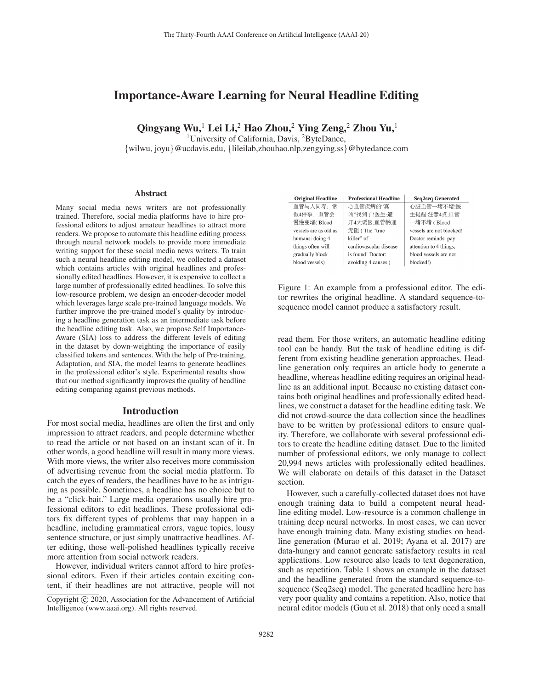# Importance-Aware Learning for Neural Headline Editing

Qingyang Wu,<sup>1</sup> Lei Li,<sup>2</sup> Hao Zhou,<sup>2</sup> Ying Zeng,<sup>2</sup> Zhou Yu,<sup>1</sup>

<sup>1</sup>University of California, Davis, <sup>2</sup>ByteDance,

{wilwu, joyu}@ucdavis.edu, {lileilab,zhouhao.nlp,zengying.ss}@bytedance.com

#### **Abstract**

Many social media news writers are not professionally trained. Therefore, social media platforms have to hire professional editors to adjust amateur headlines to attract more readers. We propose to automate this headline editing process through neural network models to provide more immediate writing support for these social media news writers. To train such a neural headline editing model, we collected a dataset which contains articles with original headlines and professionally edited headlines. However, it is expensive to collect a large number of professionally edited headlines. To solve this low-resource problem, we design an encoder-decoder model which leverages large scale pre-trained language models. We further improve the pre-trained model's quality by introducing a headline generation task as an intermediate task before the headline editing task. Also, we propose Self Importance-Aware (SIA) loss to address the different levels of editing in the dataset by down-weighting the importance of easily classified tokens and sentences. With the help of Pre-training, Adaptation, and SIA, the model learns to generate headlines in the professional editor's style. Experimental results show that our method significantly improves the quality of headline editing comparing against previous methods.

### Introduction

For most social media, headlines are often the first and only impression to attract readers, and people determine whether to read the article or not based on an instant scan of it. In other words, a good headline will result in many more views. With more views, the writer also receives more commission of advertising revenue from the social media platform. To catch the eyes of readers, the headlines have to be as intriguing as possible. Sometimes, a headline has no choice but to be a "click-bait." Large media operations usually hire professional editors to edit headlines. These professional editors fix different types of problems that may happen in a headline, including grammatical errors, vague topics, lousy sentence structure, or just simply unattractive headlines. After editing, those well-polished headlines typically receive more attention from social network readers.

However, individual writers cannot afford to hire professional editors. Even if their articles contain exciting content, if their headlines are not attractive, people will not

| <b>Original Headline</b> | <b>Professional Headline</b> | <b>Seq2seq Generated</b> |
|--------------------------|------------------------------|--------------------------|
| 血管与人同寿: 常                | 心血管疾病的"真                     | 心脏血管一堵不堵!医               |
| 做4件事, 血管会                | 凶"找到了!医生:避                   | 生提醒:注意4点,血管              |
| 慢慢变堵(Blood               | 开4大诱因,血管畅通                   | 一堵不堵 (Blood              |
| vessels are as old as    | 无阻 (The "true                | vessels are not blocked! |
| humans: doing 4          | killer" of                   | Doctor reminds: pay      |
| things often will        | cardiovascular disease       | attention to 4 things,   |
| gradually block          | is found! Doctor:            | blood vessels are not    |
| blood vessels)           | avoiding 4 causes)           | blocked!)                |

Figure 1: An example from a professional editor. The editor rewrites the original headline. A standard sequence-tosequence model cannot produce a satisfactory result.

read them. For those writers, an automatic headline editing tool can be handy. But the task of headline editing is different from existing headline generation approaches. Headline generation only requires an article body to generate a headline, whereas headline editing requires an original headline as an additional input. Because no existing dataset contains both original headlines and professionally edited headlines, we construct a dataset for the headline editing task. We did not crowd-source the data collection since the headlines have to be written by professional editors to ensure quality. Therefore, we collaborate with several professional editors to create the headline editing dataset. Due to the limited number of professional editors, we only manage to collect 20,994 news articles with professionally edited headlines. We will elaborate on details of this dataset in the Dataset section.

However, such a carefully-collected dataset does not have enough training data to build a competent neural headline editing model. Low-resource is a common challenge in training deep neural networks. In most cases, we can never have enough training data. Many existing studies on headline generation (Murao et al. 2019; Ayana et al. 2017) are data-hungry and cannot generate satisfactory results in real applications. Low resource also leads to text degeneration, such as repetition. Table 1 shows an example in the dataset and the headline generated from the standard sequence-tosequence (Seq2seq) model. The generated headline here has very poor quality and contains a repetition. Also, notice that neural editor models (Guu et al. 2018) that only need a small

Copyright  $\odot$  2020, Association for the Advancement of Artificial Intelligence (www.aaai.org). All rights reserved.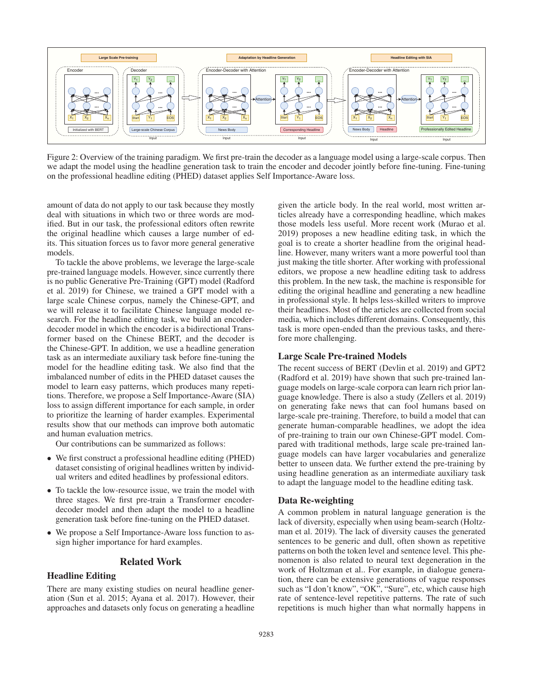

Figure 2: Overview of the training paradigm. We first pre-train the decoder as a language model using a large-scale corpus. Then we adapt the model using the headline generation task to train the encoder and decoder jointly before fine-tuning. Fine-tuning on the professional headline editing (PHED) dataset applies Self Importance-Aware loss.

amount of data do not apply to our task because they mostly deal with situations in which two or three words are modified. But in our task, the professional editors often rewrite the original headline which causes a large number of edits. This situation forces us to favor more general generative models.

To tackle the above problems, we leverage the large-scale pre-trained language models. However, since currently there is no public Generative Pre-Training (GPT) model (Radford et al. 2019) for Chinese, we trained a GPT model with a large scale Chinese corpus, namely the Chinese-GPT, and we will release it to facilitate Chinese language model research. For the headline editing task, we build an encoderdecoder model in which the encoder is a bidirectional Transformer based on the Chinese BERT, and the decoder is the Chinese-GPT. In addition, we use a headline generation task as an intermediate auxiliary task before fine-tuning the model for the headline editing task. We also find that the imbalanced number of edits in the PHED dataset causes the model to learn easy patterns, which produces many repetitions. Therefore, we propose a Self Importance-Aware (SIA) loss to assign different importance for each sample, in order to prioritize the learning of harder examples. Experimental results show that our methods can improve both automatic and human evaluation metrics.

Our contributions can be summarized as follows:

- We first construct a professional headline editing (PHED) dataset consisting of original headlines written by individual writers and edited headlines by professional editors.
- To tackle the low-resource issue, we train the model with three stages. We first pre-train a Transformer encoderdecoder model and then adapt the model to a headline generation task before fine-tuning on the PHED dataset.
- We propose a Self Importance-Aware loss function to assign higher importance for hard examples.

#### Related Work

#### Headline Editing

There are many existing studies on neural headline generation (Sun et al. 2015; Ayana et al. 2017). However, their approaches and datasets only focus on generating a headline

given the article body. In the real world, most written articles already have a corresponding headline, which makes those models less useful. More recent work (Murao et al. 2019) proposes a new headline editing task, in which the goal is to create a shorter headline from the original headline. However, many writers want a more powerful tool than just making the title shorter. After working with professional editors, we propose a new headline editing task to address this problem. In the new task, the machine is responsible for editing the original headline and generating a new headline in professional style. It helps less-skilled writers to improve their headlines. Most of the articles are collected from social media, which includes different domains. Consequently, this task is more open-ended than the previous tasks, and therefore more challenging.

### Large Scale Pre-trained Models

The recent success of BERT (Devlin et al. 2019) and GPT2 (Radford et al. 2019) have shown that such pre-trained language models on large-scale corpora can learn rich prior language knowledge. There is also a study (Zellers et al. 2019) on generating fake news that can fool humans based on large-scale pre-training. Therefore, to build a model that can generate human-comparable headlines, we adopt the idea of pre-training to train our own Chinese-GPT model. Compared with traditional methods, large scale pre-trained language models can have larger vocabularies and generalize better to unseen data. We further extend the pre-training by using headline generation as an intermediate auxiliary task to adapt the language model to the headline editing task.

### Data Re-weighting

A common problem in natural language generation is the lack of diversity, especially when using beam-search (Holtzman et al. 2019). The lack of diversity causes the generated sentences to be generic and dull, often shown as repetitive patterns on both the token level and sentence level. This phenomenon is also related to neural text degeneration in the work of Holtzman et al.. For example, in dialogue generation, there can be extensive generations of vague responses such as "I don't know", "OK", "Sure", etc, which cause high rate of sentence-level repetitive patterns. The rate of such repetitions is much higher than what normally happens in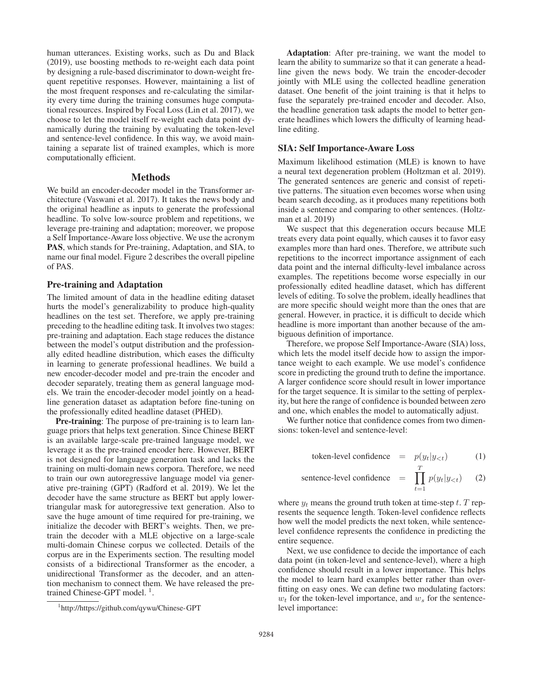human utterances. Existing works, such as Du and Black (2019), use boosting methods to re-weight each data point by designing a rule-based discriminator to down-weight frequent repetitive responses. However, maintaining a list of the most frequent responses and re-calculating the similarity every time during the training consumes huge computational resources. Inspired by Focal Loss (Lin et al. 2017), we choose to let the model itself re-weight each data point dynamically during the training by evaluating the token-level and sentence-level confidence. In this way, we avoid maintaining a separate list of trained examples, which is more computationally efficient.

# Methods

We build an encoder-decoder model in the Transformer architecture (Vaswani et al. 2017). It takes the news body and the original headline as inputs to generate the professional headline. To solve low-source problem and repetitions, we leverage pre-training and adaptation; moreover, we propose a Self Importance-Aware loss objective. We use the acronym PAS, which stands for Pre-training, Adaptation, and SIA, to name our final model. Figure 2 describes the overall pipeline of PAS.

### Pre-training and Adaptation

The limited amount of data in the headline editing dataset hurts the model's generalizability to produce high-quality headlines on the test set. Therefore, we apply pre-training preceding to the headline editing task. It involves two stages: pre-training and adaptation. Each stage reduces the distance between the model's output distribution and the professionally edited headline distribution, which eases the difficulty in learning to generate professional headlines. We build a new encoder-decoder model and pre-train the encoder and decoder separately, treating them as general language models. We train the encoder-decoder model jointly on a headline generation dataset as adaptation before fine-tuning on the professionally edited headline dataset (PHED).

Pre-training: The purpose of pre-training is to learn language priors that helps text generation. Since Chinese BERT is an available large-scale pre-trained language model, we leverage it as the pre-trained encoder here. However, BERT is not designed for language generation task and lacks the training on multi-domain news corpora. Therefore, we need to train our own autoregressive language model via generative pre-training (GPT) (Radford et al. 2019). We let the decoder have the same structure as BERT but apply lowertriangular mask for autoregressive text generation. Also to save the huge amount of time required for pre-training, we initialize the decoder with BERT's weights. Then, we pretrain the decoder with a MLE objective on a large-scale multi-domain Chinese corpus we collected. Details of the corpus are in the Experiments section. The resulting model consists of a bidirectional Transformer as the encoder, a unidirectional Transformer as the decoder, and an attention mechanism to connect them. We have released the pretrained Chinese-GPT model.<sup>1</sup>.

Adaptation: After pre-training, we want the model to learn the ability to summarize so that it can generate a headline given the news body. We train the encoder-decoder jointly with MLE using the collected headline generation dataset. One benefit of the joint training is that it helps to fuse the separately pre-trained encoder and decoder. Also, the headline generation task adapts the model to better generate headlines which lowers the difficulty of learning headline editing.

### SIA: Self Importance-Aware Loss

Maximum likelihood estimation (MLE) is known to have a neural text degeneration problem (Holtzman et al. 2019). The generated sentences are generic and consist of repetitive patterns. The situation even becomes worse when using beam search decoding, as it produces many repetitions both inside a sentence and comparing to other sentences. (Holtzman et al. 2019)

We suspect that this degeneration occurs because MLE treats every data point equally, which causes it to favor easy examples more than hard ones. Therefore, we attribute such repetitions to the incorrect importance assignment of each data point and the internal difficulty-level imbalance across examples. The repetitions become worse especially in our professionally edited headline dataset, which has different levels of editing. To solve the problem, ideally headlines that are more specific should weight more than the ones that are general. However, in practice, it is difficult to decide which headline is more important than another because of the ambiguous definition of importance.

Therefore, we propose Self Importance-Aware (SIA) loss, which lets the model itself decide how to assign the importance weight to each example. We use model's confidence score in predicting the ground truth to define the importance. A larger confidence score should result in lower importance for the target sequence. It is similar to the setting of perplexity, but here the range of confidence is bounded between zero and one, which enables the model to automatically adjust.

We further notice that confidence comes from two dimensions: token-level and sentence-level:

token-level confidence = 
$$
p(y_t|y_{< t})
$$
 (1)

sentence-level confidence 
$$
= \prod_{t=1}^{T} p(y_t | y_{< t}) \quad (2)
$$

where  $y_t$  means the ground truth token at time-step t. T represents the sequence length. Token-level confidence reflects how well the model predicts the next token, while sentencelevel confidence represents the confidence in predicting the entire sequence.

Next, we use confidence to decide the importance of each data point (in token-level and sentence-level), where a high confidence should result in a lower importance. This helps the model to learn hard examples better rather than overfitting on easy ones. We can define two modulating factors:  $w_t$  for the token-level importance, and  $w_s$  for the sentencelevel importance:

<sup>1</sup> http://https://github.com/qywu/Chinese-GPT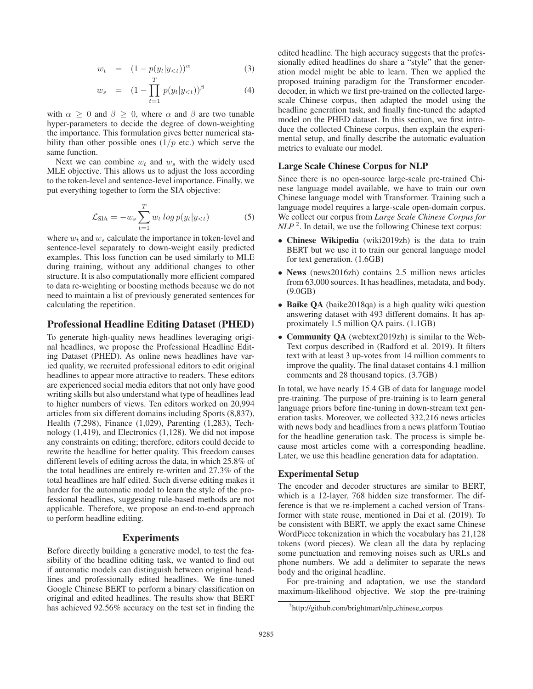$$
w_t = (1 - p(y_t|y_{<};))^\alpha \tag{3}
$$

$$
w_s = (1 - \prod_{t=1}^{T} p(y_t | y_{< t}))^{\beta} \tag{4}
$$

with  $\alpha \geq 0$  and  $\beta \geq 0$ , where  $\alpha$  and  $\beta$  are two tunable hyper-parameters to decide the degree of down-weighting the importance. This formulation gives better numerical stability than other possible ones  $(1/p \text{ etc.})$  which serve the same function.

Next we can combine  $w_t$  and  $w_s$  with the widely used MLE objective. This allows us to adjust the loss according to the token-level and sentence-level importance. Finally, we put everything together to form the SIA objective:

$$
\mathcal{L}_{\text{SIA}} = -w_s \sum_{t=1}^{T} w_t \log p(y_t | y_{< t}) \tag{5}
$$

where  $w_t$  and  $w_s$  calculate the importance in token-level and sentence-level separately to down-weight easily predicted examples. This loss function can be used similarly to MLE during training, without any additional changes to other structure. It is also computationally more efficient compared to data re-weighting or boosting methods because we do not need to maintain a list of previously generated sentences for calculating the repetition.

# Professional Headline Editing Dataset (PHED)

To generate high-quality news headlines leveraging original headlines, we propose the Professional Headline Editing Dataset (PHED). As online news headlines have varied quality, we recruited professional editors to edit original headlines to appear more attractive to readers. These editors are experienced social media editors that not only have good writing skills but also understand what type of headlines lead to higher numbers of views. Ten editors worked on 20,994 articles from six different domains including Sports (8,837), Health (7,298), Finance (1,029), Parenting (1,283), Technology (1,419), and Electronics (1,128). We did not impose any constraints on editing; therefore, editors could decide to rewrite the headline for better quality. This freedom causes different levels of editing across the data, in which 25.8% of the total headlines are entirely re-written and 27.3% of the total headlines are half edited. Such diverse editing makes it harder for the automatic model to learn the style of the professional headlines, suggesting rule-based methods are not applicable. Therefore, we propose an end-to-end approach to perform headline editing.

# Experiments

Before directly building a generative model, to test the feasibility of the headline editing task, we wanted to find out if automatic models can distinguish between original headlines and professionally edited headlines. We fine-tuned Google Chinese BERT to perform a binary classification on original and edited headlines. The results show that BERT has achieved 92.56% accuracy on the test set in finding the

edited headline. The high accuracy suggests that the professionally edited headlines do share a "style" that the generation model might be able to learn. Then we applied the proposed training paradigm for the Transformer encoderdecoder, in which we first pre-trained on the collected largescale Chinese corpus, then adapted the model using the headline generation task, and finally fine-tuned the adapted model on the PHED dataset. In this section, we first introduce the collected Chinese corpus, then explain the experimental setup, and finally describe the automatic evaluation metrics to evaluate our model.

### Large Scale Chinese Corpus for NLP

Since there is no open-source large-scale pre-trained Chinese language model available, we have to train our own Chinese language model with Transformer. Training such a language model requires a large-scale open-domain corpus. We collect our corpus from *Large Scale Chinese Corpus for NLP*<sup>2</sup>. In detail, we use the following Chinese text corpus:

- Chinese Wikipedia (wiki2019zh) is the data to train BERT but we use it to train our general language model for text generation. (1.6GB)
- News (news2016zh) contains 2.5 million news articles from 63,000 sources. It has headlines, metadata, and body. (9.0GB)
- Baike QA (baike2018qa) is a high quality wiki question answering dataset with 493 different domains. It has approximately 1.5 million QA pairs. (1.1GB)
- Community QA (webtext2019zh) is similar to the Web-Text corpus described in (Radford et al. 2019). It filters text with at least 3 up-votes from 14 million comments to improve the quality. The final dataset contains 4.1 million comments and 28 thousand topics. (3.7GB)

In total, we have nearly 15.4 GB of data for language model pre-training. The purpose of pre-training is to learn general language priors before fine-tuning in down-stream text generation tasks. Moreover, we collected 332,216 news articles with news body and headlines from a news platform Toutiao for the headline generation task. The process is simple because most articles come with a corresponding headline. Later, we use this headline generation data for adaptation.

# Experimental Setup

The encoder and decoder structures are similar to BERT, which is a 12-layer, 768 hidden size transformer. The difference is that we re-implement a cached version of Transformer with state reuse, mentioned in Dai et al. (2019). To be consistent with BERT, we apply the exact same Chinese WordPiece tokenization in which the vocabulary has 21,128 tokens (word pieces). We clean all the data by replacing some punctuation and removing noises such as URLs and phone numbers. We add a delimiter to separate the news body and the original headline.

For pre-training and adaptation, we use the standard maximum-likelihood objective. We stop the pre-training

<sup>&</sup>lt;sup>2</sup>http://github.com/brightmart/nlp\_chinese\_corpus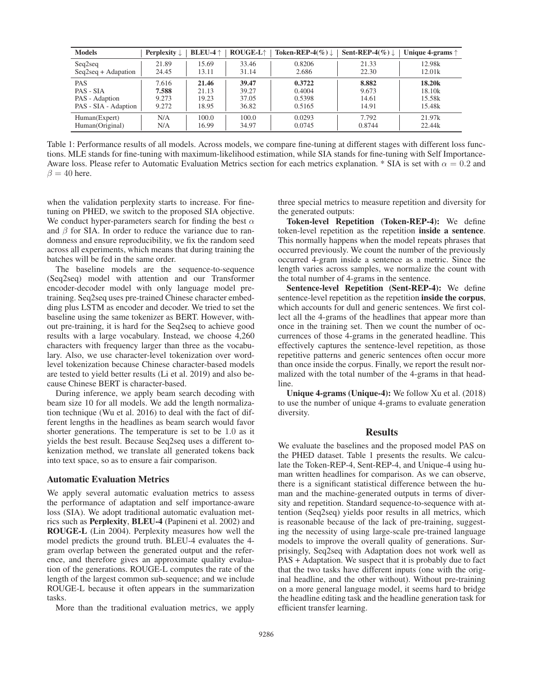| <b>Models</b>                    | <b>Perplexity</b> $\downarrow$ | <b>BLEU-4</b> $\uparrow$ | <b>ROUGE-L^</b> | Token-REP-4(%) $\downarrow$ | Sent-REP-4(%) $\downarrow$ | Unique 4-grams $\uparrow$ |
|----------------------------------|--------------------------------|--------------------------|-----------------|-----------------------------|----------------------------|---------------------------|
| Seq2seq                          | 21.89                          | 15.69                    | 33.46           | 0.8206                      | 21.33                      | 12.98k                    |
| $Seq2seq + Adapation$            | 24.45                          | 13.11                    | 31.14           | 2.686                       | 22.30                      | 12.01k                    |
| <b>PAS</b>                       | 7.616                          | 21.46                    | 39.47           | 0.3722                      | 8.882                      | 18.20 <sub>k</sub>        |
| PAS - SIA                        | 7.588                          | 21.13                    | 39.27           | 0.4004                      | 9.673                      | 18.10k                    |
| PAS - Adaption                   | 9.273                          | 19.23                    | 37.05           | 0.5398                      | 14.61                      | 15.58k                    |
| PAS - SIA - Adaption             | 9.272                          | 18.95                    | 36.82           | 0.5165                      | 14.91                      | 15.48k                    |
| Human(Expert)<br>Human(Original) | N/A<br>N/A                     | 100.0<br>16.99           | 100.0<br>34.97  | 0.0293<br>0.0745            | 7.792<br>0.8744            | 21.97k<br>22.44k          |

Table 1: Performance results of all models. Across models, we compare fine-tuning at different stages with different loss functions. MLE stands for fine-tuning with maximum-likelihood estimation, while SIA stands for fine-tuning with Self Importance-Aware loss. Please refer to Automatic Evaluation Metrics section for each metrics explanation. \* SIA is set with  $\alpha = 0.2$  and  $\beta = 40$  here.

when the validation perplexity starts to increase. For finetuning on PHED, we switch to the proposed SIA objective. We conduct hyper-parameters search for finding the best  $\alpha$ and  $\beta$  for SIA. In order to reduce the variance due to randomness and ensure reproducibility, we fix the random seed across all experiments, which means that during training the batches will be fed in the same order.

The baseline models are the sequence-to-sequence (Seq2seq) model with attention and our Transformer encoder-decoder model with only language model pretraining. Seq2seq uses pre-trained Chinese character embedding plus LSTM as encoder and decoder. We tried to set the baseline using the same tokenizer as BERT. However, without pre-training, it is hard for the Seq2seq to achieve good results with a large vocabulary. Instead, we choose 4,260 characters with frequency larger than three as the vocabulary. Also, we use character-level tokenization over wordlevel tokenization because Chinese character-based models are tested to yield better results (Li et al. 2019) and also because Chinese BERT is character-based.

During inference, we apply beam search decoding with beam size 10 for all models. We add the length normalization technique (Wu et al. 2016) to deal with the fact of different lengths in the headlines as beam search would favor shorter generations. The temperature is set to be <sup>1</sup>.<sup>0</sup> as it yields the best result. Because Seq2seq uses a different tokenization method, we translate all generated tokens back into text space, so as to ensure a fair comparison.

#### Automatic Evaluation Metrics

We apply several automatic evaluation metrics to assess the performance of adaptation and self importance-aware loss (SIA). We adopt traditional automatic evaluation metrics such as Perplexity, BLEU-4 (Papineni et al. 2002) and ROUGE-L (Lin 2004). Perplexity measures how well the model predicts the ground truth. BLEU-4 evaluates the 4 gram overlap between the generated output and the reference, and therefore gives an approximate quality evaluation of the generations. ROUGE-L computes the rate of the length of the largest common sub-sequence; and we include ROUGE-L because it often appears in the summarization tasks.

More than the traditional evaluation metrics, we apply

three special metrics to measure repetition and diversity for the generated outputs:

Token-level Repetition (Token-REP-4): We define token-level repetition as the repetition inside a sentence. This normally happens when the model repeats phrases that occurred previously. We count the number of the previously occurred 4-gram inside a sentence as a metric. Since the length varies across samples, we normalize the count with the total number of 4-grams in the sentence.

Sentence-level Repetition (Sent-REP-4): We define sentence-level repetition as the repetition inside the corpus, which accounts for dull and generic sentences. We first collect all the 4-grams of the headlines that appear more than once in the training set. Then we count the number of occurrences of those 4-grams in the generated headline. This effectively captures the sentence-level repetition, as those repetitive patterns and generic sentences often occur more than once inside the corpus. Finally, we report the result normalized with the total number of the 4-grams in that headline.

Unique 4-grams (Unique-4): We follow Xu et al. (2018) to use the number of unique 4-grams to evaluate generation diversity.

### **Results**

We evaluate the baselines and the proposed model PAS on the PHED dataset. Table 1 presents the results. We calculate the Token-REP-4, Sent-REP-4, and Unique-4 using human written headlines for comparison. As we can observe, there is a significant statistical difference between the human and the machine-generated outputs in terms of diversity and repetition. Standard sequence-to-sequence with attention (Seq2seq) yields poor results in all metrics, which is reasonable because of the lack of pre-training, suggesting the necessity of using large-scale pre-trained language models to improve the overall quality of generations. Surprisingly, Seq2seq with Adaptation does not work well as PAS + Adaptation. We suspect that it is probably due to fact that the two tasks have different inputs (one with the original headline, and the other without). Without pre-training on a more general language model, it seems hard to bridge the headline editing task and the headline generation task for efficient transfer learning.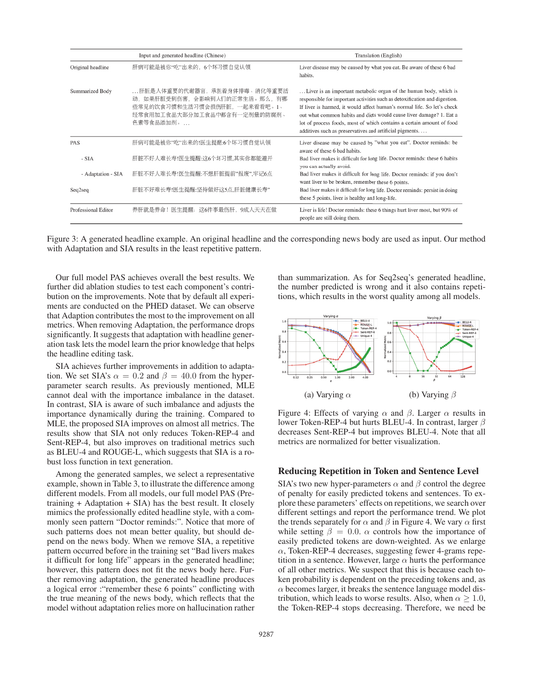| Input and generated headline (Chinese) |                                                                                                                                           | Translation (English)                                                                                                                                                                                                                                                                                                                                                                                                                 |  |  |
|----------------------------------------|-------------------------------------------------------------------------------------------------------------------------------------------|---------------------------------------------------------------------------------------------------------------------------------------------------------------------------------------------------------------------------------------------------------------------------------------------------------------------------------------------------------------------------------------------------------------------------------------|--|--|
| Original headline                      | 肝病可能是被你"吃"出来的, 6个坏习惯自觉认领                                                                                                                  | Liver disease may be caused by what you eat. Be aware of these 6 bad<br>habits.                                                                                                                                                                                                                                                                                                                                                       |  |  |
| Summarized Body                        | 肝脏是人体重要的代谢器官,承担着身体排毒、消化等重要活<br>动,如果肝脏受到伤害,会影响到人们的正常生活。那么,有哪<br>些常见的饮食习惯和生活习惯会损伤肝脏, 一起来看看吧。1、<br>经常食用加工食品大部分加工食品中都含有一定剂量的防腐剂、<br>色素等食品添加剂。 | Liver is an important metabolic organ of the human body, which is<br>responsible for important activities such as detoxification and digestion.<br>If liver is harmed, it would affect human's normal life. So let's check<br>out what common habits and diets would cause liver damage? 1. Eat a<br>lot of process foods, most of which contains a certain amount of food<br>additives such as preservatives and artificial pigments |  |  |
| <b>PAS</b>                             | 肝病可能是被你"吃"出来的!医生提醒:6个坏习惯自觉认领                                                                                                              | Liver disease may be caused by "what you eat". Doctor reminds: be<br>aware of these 6 bad habits.                                                                                                                                                                                                                                                                                                                                     |  |  |
| - SIA                                  | 肝脏不好人难长寿!医生提醒:这6个坏习惯,其实你都能避开                                                                                                              | Bad liver makes it difficult for long life. Doctor reminds: these 6 habits<br>you can actually avoid.                                                                                                                                                                                                                                                                                                                                 |  |  |
| - Adaptation - SIA                     | 肝脏不好人难长寿!医生提醒:不想肝脏提前"报废",牢记6点                                                                                                             | Bad liver makes it difficult for long life. Doctor reminds: if you don't<br>want liver to be broken, remember these 6 points.                                                                                                                                                                                                                                                                                                         |  |  |
| Seq2seq                                | 肝脏不好难长寿!医生提醒:坚持做好这5点,肝脏健康长寿"                                                                                                              | Bad liver makes it difficult for long life. Doctor reminds: persist in doing<br>these 5 points, liver is healthy and long-life.                                                                                                                                                                                                                                                                                                       |  |  |
| Professional Editor                    | 养肝就是养命!医生提醒:这6件事最伤肝,9成人天天在做                                                                                                               | Liver is life! Doctor reminds: these 6 things hurt liver most, but 90% of<br>people are still doing them.                                                                                                                                                                                                                                                                                                                             |  |  |

Figure 3: A generated headline example. An original headline and the corresponding news body are used as input. Our method with Adaptation and SIA results in the least repetitive pattern.

Our full model PAS achieves overall the best results. We further did ablation studies to test each component's contribution on the improvements. Note that by default all experiments are conducted on the PHED dataset. We can observe that Adaption contributes the most to the improvement on all metrics. When removing Adaptation, the performance drops significantly. It suggests that adaptation with headline generation task lets the model learn the prior knowledge that helps the headline editing task.

SIA achieves further improvements in addition to adaptation. We set SIA's  $\alpha = 0.2$  and  $\beta = 40.0$  from the hyperparameter search results. As previously mentioned, MLE cannot deal with the importance imbalance in the dataset. In contrast, SIA is aware of such imbalance and adjusts the importance dynamically during the training. Compared to MLE, the proposed SIA improves on almost all metrics. The results show that SIA not only reduces Token-REP-4 and Sent-REP-4, but also improves on traditional metrics such as BLEU-4 and ROUGE-L, which suggests that SIA is a robust loss function in text generation.

Among the generated samples, we select a representative example, shown in Table 3, to illustrate the difference among different models. From all models, our full model PAS (Pretraining  $+$  Adaptation  $+$  SIA) has the best result. It closely mimics the professionally edited headline style, with a commonly seen pattern "Doctor reminds:". Notice that more of such patterns does not mean better quality, but should depend on the news body. When we remove SIA, a repetitive pattern occurred before in the training set "Bad livers makes it difficult for long life" appears in the generated headline; however, this pattern does not fit the news body here. Further removing adaptation, the generated headline produces a logical error :"remember these 6 points" conflicting with the true meaning of the news body, which reflects that the model without adaptation relies more on hallucination rather

than summarization. As for Seq2seq's generated headline, the number predicted is wrong and it also contains repetitions, which results in the worst quality among all models.



Figure 4: Effects of varying  $\alpha$  and  $\beta$ . Larger  $\alpha$  results in lower Token-REP-4 but hurts BLEU-4. In contrast, larger β decreases Sent-REP-4 but improves BLEU-4. Note that all metrics are normalized for better visualization.

#### Reducing Repetition in Token and Sentence Level

SIA's two new hyper-parameters  $\alpha$  and  $\beta$  control the degree of penalty for easily predicted tokens and sentences. To explore these parameters' effects on repetitions, we search over different settings and report the performance trend. We plot the trends separately for  $\alpha$  and  $\beta$  in Figure 4. We vary  $\alpha$  first while setting  $\beta = 0.0$ .  $\alpha$  controls how the importance of easily predicted tokens are down-weighted. As we enlarge  $\alpha$ , Token-REP-4 decreases, suggesting fewer 4-grams repetition in a sentence. However, large  $\alpha$  hurts the performance of all other metrics. We suspect that this is because each token probability is dependent on the preceding tokens and, as  $\alpha$  becomes larger, it breaks the sentence language model distribution, which leads to worse results. Also, when  $\alpha \geq 1.0$ , the Token-REP-4 stops decreasing. Therefore, we need be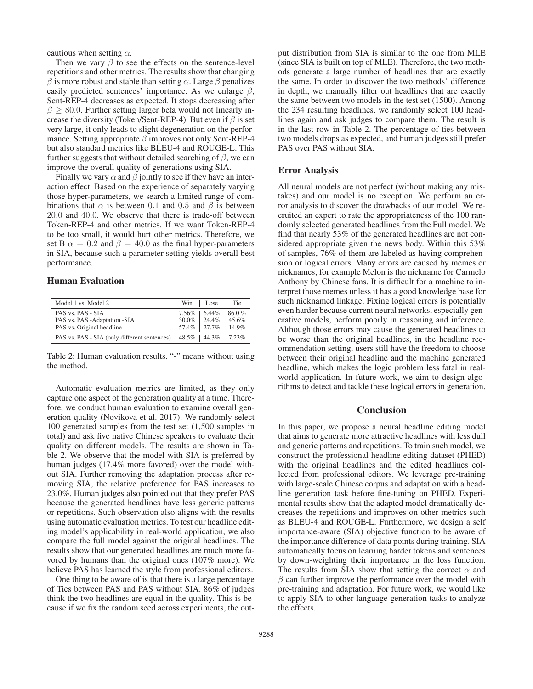cautious when setting  $\alpha$ .

Then we vary  $\beta$  to see the effects on the sentence-level repetitions and other metrics. The results show that changing  $β$  is more robust and stable than setting  $α$ . Large  $β$  penalizes easily predicted sentences' importance. As we enlarge  $\beta$ , Sent-REP-4 decreases as expected. It stops decreasing after  $\beta \geq 80.0$ . Further setting larger beta would not linearly increase the diversity (Token/Sent-REP-4). But even if  $\beta$  is set very large, it only leads to slight degeneration on the performance. Setting appropriate  $\beta$  improves not only Sent-REP-4 but also standard metrics like BLEU-4 and ROUGE-L. This further suggests that without detailed searching of  $\beta$ , we can improve the overall quality of generations using SIA.

Finally we vary  $\alpha$  and  $\beta$  jointly to see if they have an interaction effect. Based on the experience of separately varying those hyper-parameters, we search a limited range of combinations that  $\alpha$  is between 0.1 and 0.5 and  $\beta$  is between <sup>20</sup>.<sup>0</sup> and <sup>40</sup>.0. We observe that there is trade-off between Token-REP-4 and other metrics. If we want Token-REP-4 to be too small, it would hurt other metrics. Therefore, we set B  $\alpha = 0.2$  and  $\beta = 40.0$  as the final hyper-parameters in SIA, because such a parameter setting yields overall best performance.

# Human Evaluation

| Model 1 vs. Model 2                                                                    |                           | Win Lose                             | Tie            |
|----------------------------------------------------------------------------------------|---------------------------|--------------------------------------|----------------|
| PAS vs. PAS - SIA<br>PAS vs. PAS - Adaptation - SIA<br>PAS vs. Original headline       | $7.56\%$   6.44%<br>30.0% | $24.4\%$<br>$57.4\%$   27.7%   14.9% | 86.0%<br>45.6% |
| PAS vs. PAS - SIA (only different sentences) $\vert$ 48.5% $\vert$ 44.3% $\vert$ 7.23% |                           |                                      |                |

Table 2: Human evaluation results. "-" means without using the method.

Automatic evaluation metrics are limited, as they only capture one aspect of the generation quality at a time. Therefore, we conduct human evaluation to examine overall generation quality (Novikova et al. 2017). We randomly select 100 generated samples from the test set (1,500 samples in total) and ask five native Chinese speakers to evaluate their quality on different models. The results are shown in Table 2. We observe that the model with SIA is preferred by human judges (17.4% more favored) over the model without SIA. Further removing the adaptation process after removing SIA, the relative preference for PAS increases to 23.0%. Human judges also pointed out that they prefer PAS because the generated headlines have less generic patterns or repetitions. Such observation also aligns with the results using automatic evaluation metrics. To test our headline editing model's applicability in real-world application, we also compare the full model against the original headlines. The results show that our generated headlines are much more favored by humans than the original ones (107% more). We believe PAS has learned the style from professional editors.

One thing to be aware of is that there is a large percentage of Ties between PAS and PAS without SIA. 86% of judges think the two headlines are equal in the quality. This is because if we fix the random seed across experiments, the out-

put distribution from SIA is similar to the one from MLE (since SIA is built on top of MLE). Therefore, the two methods generate a large number of headlines that are exactly the same. In order to discover the two methods' difference in depth, we manually filter out headlines that are exactly the same between two models in the test set (1500). Among the 234 resulting headlines, we randomly select 100 headlines again and ask judges to compare them. The result is in the last row in Table 2. The percentage of ties between two models drops as expected, and human judges still prefer PAS over PAS without SIA.

### Error Analysis

All neural models are not perfect (without making any mistakes) and our model is no exception. We perform an error analysis to discover the drawbacks of our model. We recruited an expert to rate the appropriateness of the 100 randomly selected generated headlines from the Full model. We find that nearly 53% of the generated headlines are not considered appropriate given the news body. Within this 53% of samples, 76% of them are labeled as having comprehension or logical errors. Many errors are caused by memes or nicknames, for example Melon is the nickname for Carmelo Anthony by Chinese fans. It is difficult for a machine to interpret those memes unless it has a good knowledge base for such nicknamed linkage. Fixing logical errors is potentially even harder because current neural networks, especially generative models, perform poorly in reasoning and inference. Although those errors may cause the generated headlines to be worse than the original headlines, in the headline recommendation setting, users still have the freedom to choose between their original headline and the machine generated headline, which makes the logic problem less fatal in realworld application. In future work, we aim to design algorithms to detect and tackle these logical errors in generation.

# **Conclusion**

In this paper, we propose a neural headline editing model that aims to generate more attractive headlines with less dull and generic patterns and repetitions. To train such model, we construct the professional headline editing dataset (PHED) with the original headlines and the edited headlines collected from professional editors. We leverage pre-training with large-scale Chinese corpus and adaptation with a headline generation task before fine-tuning on PHED. Experimental results show that the adapted model dramatically decreases the repetitions and improves on other metrics such as BLEU-4 and ROUGE-L. Furthermore, we design a self importance-aware (SIA) objective function to be aware of the importance difference of data points during training. SIA automatically focus on learning harder tokens and sentences by down-weighting their importance in the loss function. The results from SIA show that setting the correct  $\alpha$  and  $\beta$  can further improve the performance over the model with pre-training and adaptation. For future work, we would like to apply SIA to other language generation tasks to analyze the effects.